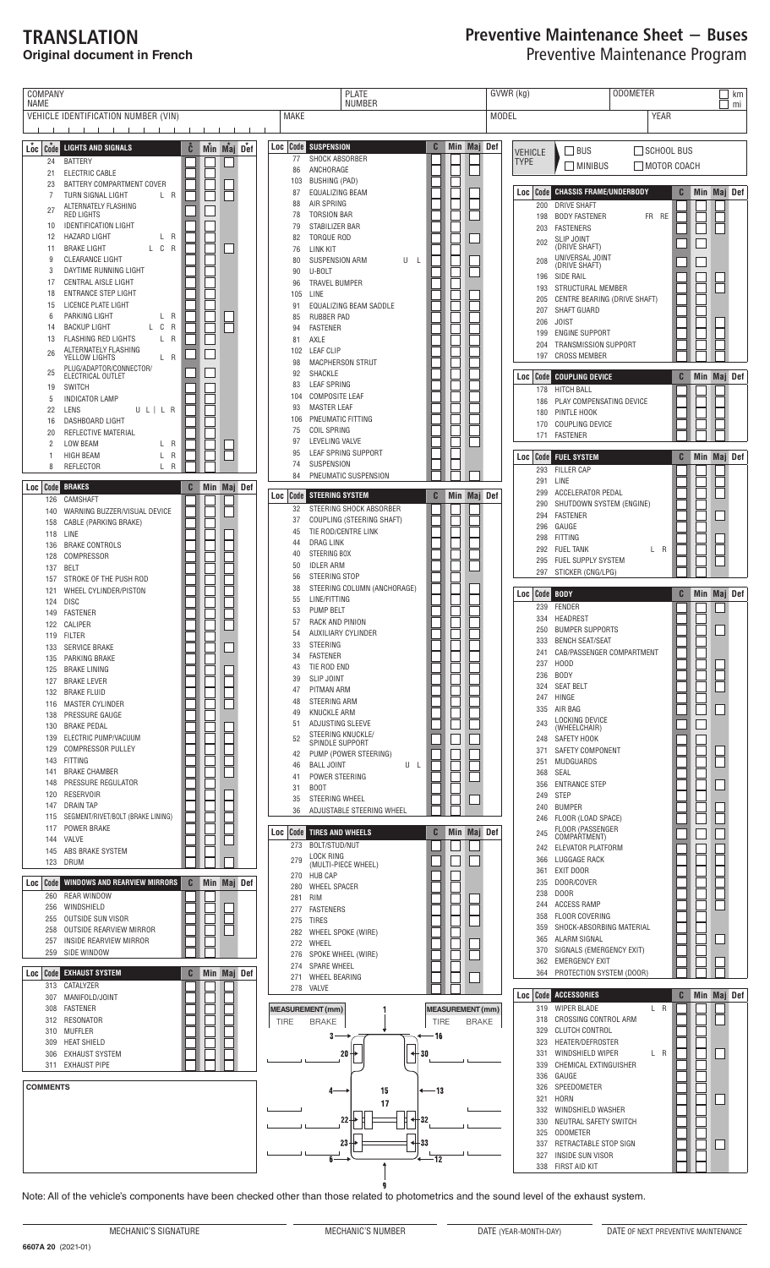## TRANSLATION **Original document in French**

## Preventive Maintenance Sheet − Buses Preventive Maintenance Program

| COMPANY<br>NAME                                                                                                                                                                                                                                                                                                                                                                                                                                                                                                                                                                                                                                        | <b>PLATE</b><br><b>NUMBER</b>                                                                                                                                                                                                                                                                                                                                                                                                                                                                                                                                                                                                                                       | GVWR (kg)<br><b>ODOMETER</b><br>km<br>mi                                                                                                                                                                                                                                                                                                                                                                                                                                                                                                                                                                                                            |
|--------------------------------------------------------------------------------------------------------------------------------------------------------------------------------------------------------------------------------------------------------------------------------------------------------------------------------------------------------------------------------------------------------------------------------------------------------------------------------------------------------------------------------------------------------------------------------------------------------------------------------------------------------|---------------------------------------------------------------------------------------------------------------------------------------------------------------------------------------------------------------------------------------------------------------------------------------------------------------------------------------------------------------------------------------------------------------------------------------------------------------------------------------------------------------------------------------------------------------------------------------------------------------------------------------------------------------------|-----------------------------------------------------------------------------------------------------------------------------------------------------------------------------------------------------------------------------------------------------------------------------------------------------------------------------------------------------------------------------------------------------------------------------------------------------------------------------------------------------------------------------------------------------------------------------------------------------------------------------------------------------|
| VEHICLE IDENTIFICATION NUMBER (VIN)                                                                                                                                                                                                                                                                                                                                                                                                                                                                                                                                                                                                                    | <b>MAKE</b><br><b>MODEL</b>                                                                                                                                                                                                                                                                                                                                                                                                                                                                                                                                                                                                                                         | <b>YEAR</b>                                                                                                                                                                                                                                                                                                                                                                                                                                                                                                                                                                                                                                         |
| and the contract of the contract of<br>$\mathbf{1}$ $\mathbf{1}$<br>$L_{oc}$ $c_{ode}$<br>Č<br>Min Maj Def<br><b>LIGHTS AND SIGNALS</b><br><b>BATTERY</b><br>24<br>ELECTRIC CABLE<br>21<br>BATTERY COMPARTMENT COVER<br>23<br>TURN SIGNAL LIGHT<br>L R<br>7<br>ALTERNATELY FLASHING<br>27<br>RED LIGHTS<br><b>IDENTIFICATION LIGHT</b><br>10<br><b>HAZARD LIGHT</b><br>L R<br>12<br>L C R<br><b>BRAKE LIGHT</b><br>11<br><b>CLEARANCE LIGHT</b><br>9<br>DAYTIME RUNNING LIGHT<br>3<br>17<br>CENTRAL AISLE LIGHT                                                                                                                                        | <b>SUSPENSION</b><br>Loc Code<br>C<br>Min Maj Def<br>77<br>SHOCK ABSORBER<br>ANCHORAGE<br>86<br><b>BUSHING (PAD)</b><br>103<br><b>EQUALIZING BEAM</b><br>87<br>AIR SPRING<br>88<br><b>TORSION BAR</b><br>78<br>STABILIZER BAR<br>79<br><b>TORQUE ROD</b><br>82<br>LINK KIT<br>76<br><b>SUSPENSION ARM</b><br>U<br>80<br>-L<br>U-BOLT<br>90<br><b>TRAVEL BUMPER</b><br>96                                                                                                                                                                                                                                                                                            | SCHOOL BUS<br>BUS<br><b>VEHICLE</b><br><b>TYPE</b><br>MOTOR COACH<br>$\Box$ MINIBUS<br><b>Code CHASSIS FRAME/UNDERBODY</b><br>Min Maj Def<br>C<br>Loc<br><b>DRIVE SHAFT</b><br>200<br><b>BODY FASTENER</b><br>FR RE<br>198<br><b>FASTENERS</b><br>203<br><b>SLIP JOINT</b><br>202<br>(DRIVE SHAFT)<br>UNIVERSAL JOINT<br>208<br>(DRIVE SHAFT)<br><b>SIDE RAIL</b><br>196<br>STRUCTURAL MEMBER<br>193                                                                                                                                                                                                                                                |
| <b>ENTRANCE STEP LIGHT</b><br>18<br>LICENCE PLATE LIGHT<br>15<br>PARKING LIGHT<br>L R<br>6<br><b>BACKUP LIGHT</b><br>L C<br>$\overline{\mathsf{R}}$<br>14<br><b>FLASHING RED LIGHTS</b><br>L R<br>13<br>ALTERNATELY FLASHING<br>26<br>L R<br>YELLOW LIGHTS<br>PLUG/ADAPTOR/CONNECTOR/<br>25<br>ELECTRICAL OUTLET<br><b>SWITCH</b><br>19<br><b>INDICATOR LAMP</b><br>5<br>22<br>LENS<br>ULILR<br>DASHBOARD LIGHT<br>16<br>REFLECTIVE MATERIAL<br>20<br><b>LOW BEAM</b><br>L R<br>2                                                                                                                                                                      | 105<br>LINE<br>EQUALIZING BEAM SADDLE<br>91<br><b>RUBBER PAD</b><br>85<br><b>FASTENER</b><br>94<br>AXLE<br>81<br><b>LEAF CLIP</b><br>102<br><b>MACPHERSON STRUT</b><br>98<br>SHACKLE<br>92<br><b>LEAF SPRING</b><br>83<br><b>COMPOSITE LEAF</b><br>104<br><b>MASTER LEAF</b><br>93<br>PNEUMATIC FITTING<br>106<br>COIL SPRING<br>75<br>LEVELING VALVE<br>97<br>LEAF SPRING SUPPORT<br>95                                                                                                                                                                                                                                                                            | CENTRE BEARING (DRIVE SHAFT)<br>205<br>SHAFT GUARD<br>207<br><b>JOIST</b><br>206<br><b>ENGINE SUPPORT</b><br>199<br>TRANSMISSION SUPPORT<br>204<br><b>CROSS MEMBER</b><br>197<br>C<br>Min Maj Def<br>  Code<br><b>COUPLING DEVICE</b><br>Loc<br><b>HITCH BALL</b><br>178<br>PLAY COMPENSATING DEVICE<br>186<br>PINTLE HOOK<br>180<br>COUPLING DEVICE<br>170<br><b>FASTENER</b><br>171                                                                                                                                                                                                                                                               |
| <b>HIGH BEAM</b><br>L<br>R<br>-1.<br>$\overline{\mathsf{R}}$<br>8<br><b>REFLECTOR</b><br>L<br>Loc Code<br><b>BRAKES</b><br>C<br>Min Maj Def<br>CAMSHAFT<br>126<br>WARNING BUZZER/VISUAL DEVICE<br>140<br>CABLE (PARKING BRAKE)<br>158<br>LINE<br>118<br><b>BRAKE CONTROLS</b><br>136<br>COMPRESSOR<br>128<br>BELT<br>137<br>STROKE OF THE PUSH ROD<br>157                                                                                                                                                                                                                                                                                              | SUSPENSION<br>74<br>PNEUMATIC SUSPENSION<br>84<br>C<br>Min Maj Def<br>Loc Code STEERING SYSTEM<br>STEERING SHOCK ABSORBER<br>32<br>COUPLING (STEERING SHAFT)<br>37<br>TIE ROD/CENTRE LINK<br>45<br><b>DRAG LINK</b><br>44<br>STEERING BOX<br>40<br>50<br><b>IDLER ARM</b><br>STEERING STOP<br>56<br>38                                                                                                                                                                                                                                                                                                                                                              | <b>Code FUEL SYSTEM</b><br>C<br>Min Maj Def<br>Loc<br><b>FILLER CAP</b><br>293<br>LINE<br>291<br>ACCELERATOR PEDAL<br>299<br>SHUTDOWN SYSTEM (ENGINE)<br>290<br>294<br><b>FASTENER</b><br>GAUGE<br>296<br>298<br><b>FITTING</b><br><b>FUEL TANK</b><br>L R<br>292<br>FUEL SUPPLY SYSTEM<br>295<br>STICKER (CNG/LPG)<br>297                                                                                                                                                                                                                                                                                                                          |
| WHEEL CYLINDER/PISTON<br>121<br><b>DISC</b><br>124<br>FASTENER<br>149<br>CALIPER<br>122<br>119 FILTER<br>133 SERVICE BRAKE<br>PARKING BRAKE<br>135<br>125 BRAKE LINING<br><b>BRAKE LEVER</b><br>127<br><b>BRAKE FLUID</b><br>132<br><b>MASTER CYLINDER</b><br>116<br>PRESSURE GAUGE<br>138<br><b>BRAKE PEDAL</b><br>130<br>ELECTRIC PUMP/VACUUM<br>139<br><b>COMPRESSOR PULLEY</b><br>129<br>FITTING<br>143<br><b>BRAKE CHAMBER</b><br>141<br>PRESSURE REGULATOR<br>148<br><b>RESERVOIR</b><br>120<br><b>DRAIN TAP</b><br>147<br>SEGMENT/RIVET/BOLT (BRAKE LINING)<br>115<br>POWER BRAKE<br>117<br>144 VALVE<br>ABS BRAKE SYSTEM<br>145<br>DRUM<br>123 | STEERING COLUMN (ANCHORAGE)<br>LINE/FITTING<br>55<br><b>PUMP BELT</b><br>53<br>57<br>RACK AND PINION<br>54<br>AUXILIARY CYLINDER<br>33<br>STEERING<br>34<br>FASTENER<br>TIE ROD END<br>43<br><b>SLIP JOINT</b><br>39<br>PITMAN ARM<br>47<br>STEERING ARM<br>48<br><b>KNUCKLE ARM</b><br>49<br>ADJUSTING SLEEVE<br>51<br>STEERING KNUCKLE/<br>52<br>SPINDLE SUPPORT<br>PUMP (POWER STEERING)<br>42<br><b>BALL JOINT</b><br>U L<br>46<br>POWER STEERING<br>41<br><b>BOOT</b><br>31<br>STEERING WHEEL<br>35<br>36<br>ADJUSTABLE STEERING WHEEL<br><b>Loc Code TIRES AND WHEELS</b><br>Min Maj Def<br>C<br>273 BOLT/STUD/NUT<br>LOCK RING<br>279<br>(MULTI-PIECE WHEEL) | C<br>Min Maj Def<br>Loc Code BODY<br>FENDER<br>239<br>HEADREST<br>334<br>250<br><b>BUMPER SUPPORTS</b><br>333<br>BENCH SEAT/SEAT<br>CAB/PASSENGER COMPARTMENT<br>241<br>H <sub>0</sub> OD<br>237<br><b>BODY</b><br>236<br><b>SEAT BELT</b><br>324<br>HINGE<br>247<br>AIR BAG<br>335<br><b>LOCKING DEVICE</b><br>243<br>(WHEELCHAIR)<br>SAFETY HOOK<br>248<br>371<br>SAFETY COMPONENT<br>MUDGUARDS<br>251<br>368<br>SEAL<br><b>ENTRANCE STEP</b><br>356<br><b>STEP</b><br>249<br><b>BUMPER</b><br>240<br>FLOOR (LOAD SPACE)<br>246<br>FLOOR (PASSENGER<br>245<br>COMPARTMENT)<br>ELEVATOR PLATFORM<br>242<br>LUGGAGE RACK<br>366<br>361<br>EXIT DOOR |
| $\mathbf{C}$<br>WINDOWS AND REARVIEW MIRRORS<br>Min Maj Def<br>Loc Code<br><b>REAR WINDOW</b><br>260<br>256 WINDSHIELD<br>OUTSIDE SUN VISOR<br>255<br>OUTSIDE REARVIEW MIRROR<br>258<br>INSIDE REARVIEW MIRROR<br>257<br>259 SIDE WINDOW<br><b>EXHAUST SYSTEM</b><br>C<br>Min Maj Def<br>Loc Code                                                                                                                                                                                                                                                                                                                                                      | 270 HUB CAP<br>WHEEL SPACER<br>280<br>RIM<br>281<br>277 FASTENERS<br>TIRES<br>275<br>WHEEL SPOKE (WIRE)<br>282<br>WHEEL<br>272<br>SPOKE WHEEL (WIRE)<br>276<br>274 SPARE WHEEL<br>271 WHEEL BEARING                                                                                                                                                                                                                                                                                                                                                                                                                                                                 | 235<br>DOOR/COVER<br>DOOR<br>238<br><b>ACCESS RAMP</b><br>244<br>358<br>FLOOR COVERING<br>359<br>SHOCK-ABSORBING MATERIAL<br>365<br>ALARM SIGNAL<br>SIGNALS (EMERGENCY EXIT)<br>370<br><b>EMERGENCY EXIT</b><br>362<br>PROTECTION SYSTEM (DOOR)<br>364                                                                                                                                                                                                                                                                                                                                                                                              |
| 313 CATALYZER<br>MANIFOLD/JOINT<br>307<br>FASTENER<br>308<br>312 RESONATOR<br>310 MUFFLER<br><b>HEAT SHIELD</b><br>309<br><b>EXHAUST SYSTEM</b><br>306<br>311 EXHAUST PIPE                                                                                                                                                                                                                                                                                                                                                                                                                                                                             | 278 VALVE<br><b>MEASUREMENT</b> (mm)<br><b>MEASUREMENT</b> (mm)<br>TIRE<br><b>TIRE</b><br><b>BRAKE</b><br><b>BRAKE</b><br>-16<br>з.<br>20<br>30                                                                                                                                                                                                                                                                                                                                                                                                                                                                                                                     | Loc Code ACCESSORIES<br>$\mathbf{C}$<br>Min Maj Def<br>319<br><b>WIPER BLADE</b><br>L R<br>CROSSING CONTROL ARM<br>318<br>329<br><b>CLUTCH CONTROL</b><br>HEATER/DEFROSTER<br>323<br>331<br>WINDSHIELD WIPER<br>L R<br>339<br>CHEMICAL EXTINGUISHER<br>GAUGE<br>336                                                                                                                                                                                                                                                                                                                                                                                 |
| <b>COMMENTS</b>                                                                                                                                                                                                                                                                                                                                                                                                                                                                                                                                                                                                                                        | —13<br>15<br>4<br>17<br>22 <sub>2</sub><br>32<br>٠<br>23<br>-33<br>٠<br>12                                                                                                                                                                                                                                                                                                                                                                                                                                                                                                                                                                                          | SPEEDOMETER<br>326<br>321<br><b>HORN</b><br>332<br>WINDSHIELD WASHER<br>330<br>NEUTRAL SAFETY SWITCH<br>325<br><b>ODOMETER</b><br>337<br>RETRACTABLE STOP SIGN<br>327<br><b>INSIDE SUN VISOR</b><br>338<br>FIRST AID KIT                                                                                                                                                                                                                                                                                                                                                                                                                            |

Note: All of the vehicle's components have been checked other than those related to photometrics and the sound level of the exhaust system.